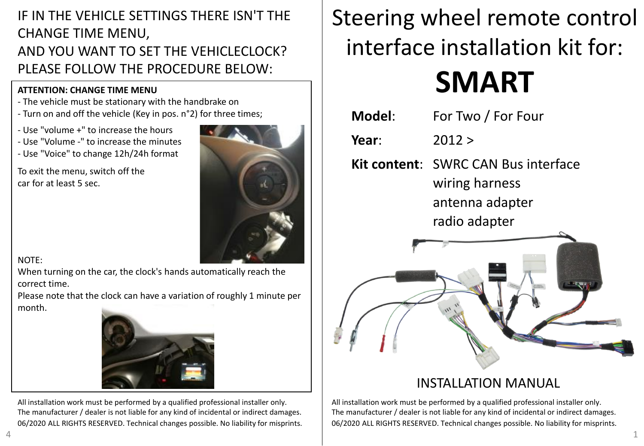## IF IN THE VEHICLE SETTINGS THERE ISN'T THE CHANGE TIME MENU, AND YOU WANT TO SET THE VEHICLECLOCK? PLEASE FOLLOW THE PROCEDURE BELOW:

### **ATTENTION: CHANGE TIME MENU**

- The vehicle must be stationary with the handbrake on
- Turn on and off the vehicle (Key in pos. n°2) for three times;
- Use "volume +" to increase the hours
- Use "Volume -" to increase the minutes
- Use "Voice" to change 12h/24h format

To exit the menu, switch off the car for at least 5 sec.



### NOTE:

When turning on the car, the clock's hands automatically reach the correct time.

Please note that the clock can have a variation of roughly 1 minute per month.



All installation work must be performed by a qualified professional installer only. The manufacturer / dealer is not liable for any kind of incidental or indirect damages. 06/2020 ALL RIGHTS RESERVED. Technical changes possible. No liability for misprints.

## Steering wheel remote control interface installation kit for:

# **SMART**

**Model**: For Two / For Four **Year**: 2012 > **Kit content**: SWRC CAN Bus interface wiring harness antenna adapter radio adapter



## INSTALLATION MANUAL

All installation work must be performed by a qualified professional installer only. The manufacturer / dealer is not liable for any kind of incidental or indirect damages. 06/2020 ALL RIGHTS RESERVED. Technical changes possible. No liability for misprints.